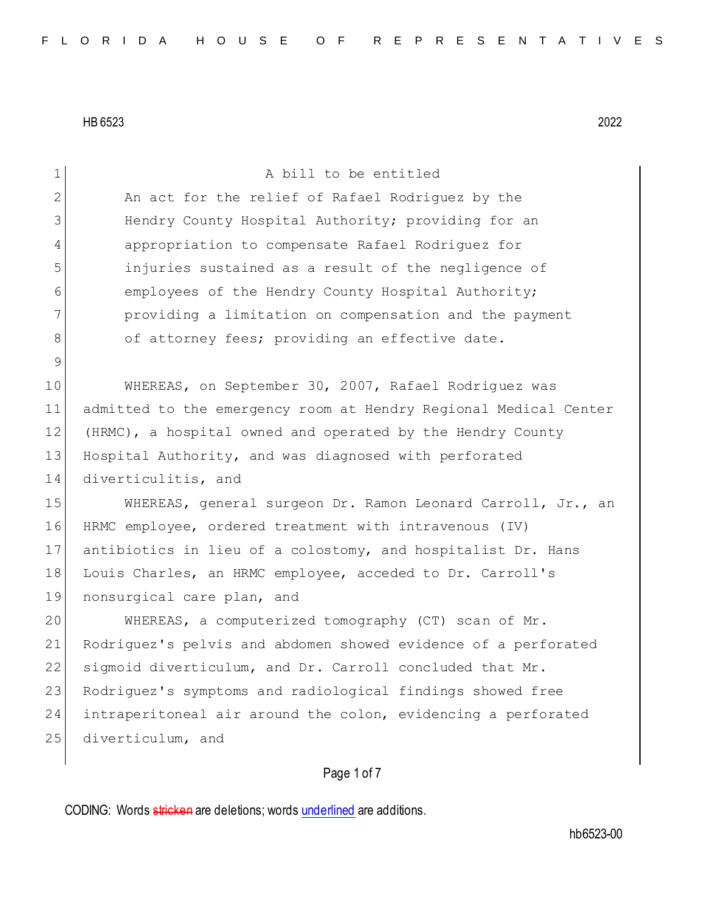| $\mathbf 1$     | A bill to be entitled                                            |  |  |  |  |  |  |  |  |  |
|-----------------|------------------------------------------------------------------|--|--|--|--|--|--|--|--|--|
| $\mathbf{2}$    | An act for the relief of Rafael Rodriguez by the                 |  |  |  |  |  |  |  |  |  |
| 3               | Hendry County Hospital Authority; providing for an               |  |  |  |  |  |  |  |  |  |
| 4               | appropriation to compensate Rafael Rodriguez for                 |  |  |  |  |  |  |  |  |  |
| 5               | injuries sustained as a result of the negligence of              |  |  |  |  |  |  |  |  |  |
| 6               | employees of the Hendry County Hospital Authority;               |  |  |  |  |  |  |  |  |  |
| $7\phantom{.0}$ | providing a limitation on compensation and the payment           |  |  |  |  |  |  |  |  |  |
| $8\,$           | of attorney fees; providing an effective date.                   |  |  |  |  |  |  |  |  |  |
| $\mathcal{G}$   |                                                                  |  |  |  |  |  |  |  |  |  |
| 10              | WHEREAS, on September 30, 2007, Rafael Rodriguez was             |  |  |  |  |  |  |  |  |  |
| 11              | admitted to the emergency room at Hendry Regional Medical Center |  |  |  |  |  |  |  |  |  |
| 12              | (HRMC), a hospital owned and operated by the Hendry County       |  |  |  |  |  |  |  |  |  |
| 13              | Hospital Authority, and was diagnosed with perforated            |  |  |  |  |  |  |  |  |  |
| 14              | diverticulitis, and                                              |  |  |  |  |  |  |  |  |  |
| 15              | WHEREAS, general surgeon Dr. Ramon Leonard Carroll, Jr., an      |  |  |  |  |  |  |  |  |  |
| 16              | HRMC employee, ordered treatment with intravenous (IV)           |  |  |  |  |  |  |  |  |  |
| 17              | antibiotics in lieu of a colostomy, and hospitalist Dr. Hans     |  |  |  |  |  |  |  |  |  |
| 18              | Louis Charles, an HRMC employee, acceded to Dr. Carroll's        |  |  |  |  |  |  |  |  |  |
| 19              | nonsurgical care plan, and                                       |  |  |  |  |  |  |  |  |  |
| 20              | WHEREAS, a computerized tomography (CT) scan of Mr.              |  |  |  |  |  |  |  |  |  |
| 21              | Rodriquez's pelvis and abdomen showed evidence of a perforated   |  |  |  |  |  |  |  |  |  |
| 22              | sigmoid diverticulum, and Dr. Carroll concluded that Mr.         |  |  |  |  |  |  |  |  |  |
| 23              | Rodriguez's symptoms and radiological findings showed free       |  |  |  |  |  |  |  |  |  |
| 24              | intraperitoneal air around the colon, evidencing a perforated    |  |  |  |  |  |  |  |  |  |
| 25              | diverticulum, and                                                |  |  |  |  |  |  |  |  |  |
|                 | Page 1 of 7                                                      |  |  |  |  |  |  |  |  |  |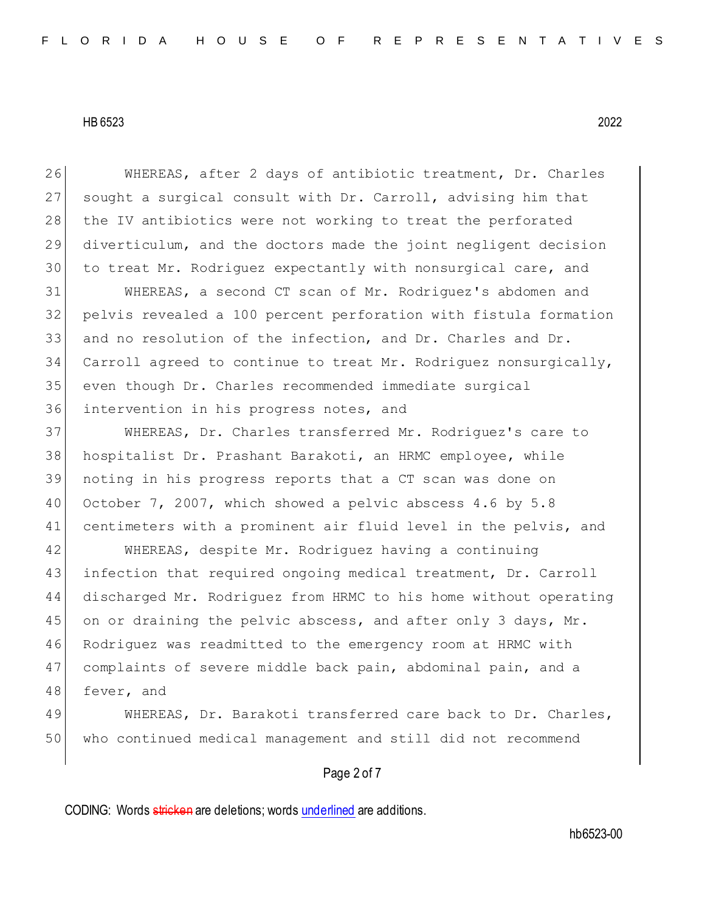WHEREAS, after 2 days of antibiotic treatment, Dr. Charles sought a surgical consult with Dr. Carroll, advising him that 28 | the IV antibiotics were not working to treat the perforated diverticulum, and the doctors made the joint negligent decision to treat Mr. Rodriguez expectantly with nonsurgical care, and WHEREAS, a second CT scan of Mr. Rodriguez's abdomen and pelvis revealed a 100 percent perforation with fistula formation and no resolution of the infection, and Dr. Charles and Dr. Carroll agreed to continue to treat Mr. Rodriguez nonsurgically, even though Dr. Charles recommended immediate surgical intervention in his progress notes, and WHEREAS, Dr. Charles transferred Mr. Rodriguez's care to hospitalist Dr. Prashant Barakoti, an HRMC employee, while noting in his progress reports that a CT scan was done on October 7, 2007, which showed a pelvic abscess 4.6 by 5.8 41 centimeters with a prominent air fluid level in the pelvis, and WHEREAS, despite Mr. Rodriguez having a continuing infection that required ongoing medical treatment, Dr. Carroll discharged Mr. Rodriguez from HRMC to his home without operating 45 on or draining the pelvic abscess, and after only 3 days, Mr. Rodriguez was readmitted to the emergency room at HRMC with complaints of severe middle back pain, abdominal pain, and a 48 fever, and 49 WHEREAS, Dr. Barakoti transferred care back to Dr. Charles,

who continued medical management and still did not recommend

# Page 2 of 7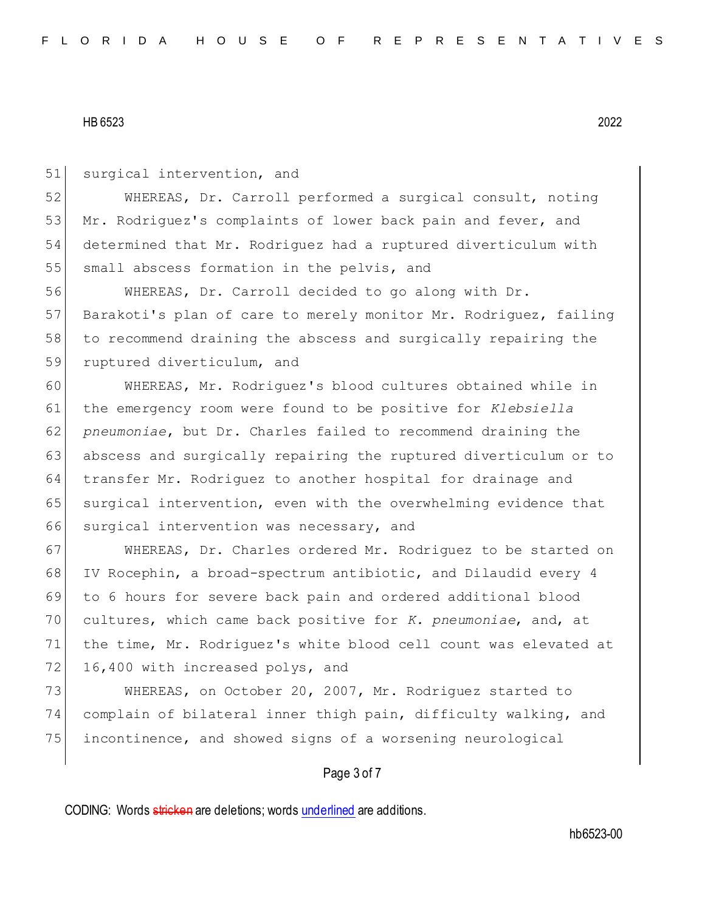51 surgical intervention, and 52 WHEREAS, Dr. Carroll performed a surgical consult, noting 53 Mr. Rodriguez's complaints of lower back pain and fever, and 54 determined that Mr. Rodriguez had a ruptured diverticulum with 55 small abscess formation in the pelvis, and 56 WHEREAS, Dr. Carroll decided to go along with Dr. 57 Barakoti's plan of care to merely monitor Mr. Rodriquez, failing 58 to recommend draining the abscess and surgically repairing the 59 ruptured diverticulum, and 60 WHEREAS, Mr. Rodriguez's blood cultures obtained while in 61 the emergency room were found to be positive for *Klebsiella*  62 *pneumoniae*, but Dr. Charles failed to recommend draining the 63 abscess and surgically repairing the ruptured diverticulum or to 64 transfer Mr. Rodriguez to another hospital for drainage and 65 surgical intervention, even with the overwhelming evidence that 66 surgical intervention was necessary, and 67 WHEREAS, Dr. Charles ordered Mr. Rodriguez to be started on 68 IV Rocephin, a broad-spectrum antibiotic, and Dilaudid every 4 69 to 6 hours for severe back pain and ordered additional blood 70 cultures, which came back positive for *K. pneumoniae*, and, at

71 the time, Mr. Rodriguez's white blood cell count was elevated at 72 16,400 with increased polys, and

73 WHEREAS, on October 20, 2007, Mr. Rodriguez started to 74 complain of bilateral inner thigh pain, difficulty walking, and 75 incontinence, and showed signs of a worsening neurological

## Page 3 of 7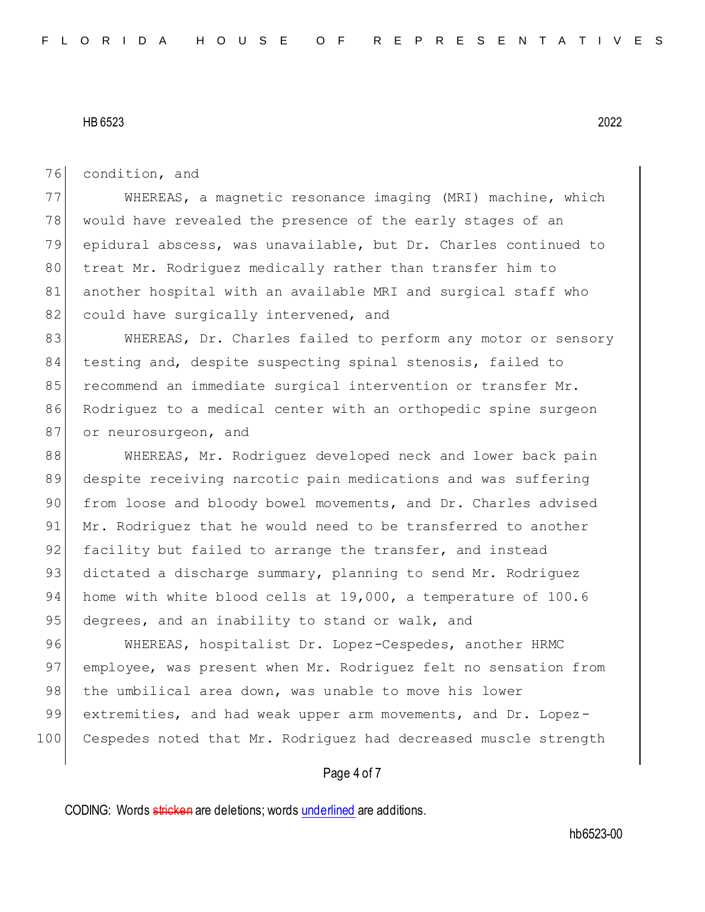76 condition, and

77 WHEREAS, a magnetic resonance imaging (MRI) machine, which 78 would have revealed the presence of the early stages of an 79 epidural abscess, was unavailable, but Dr. Charles continued to 80 treat Mr. Rodriguez medically rather than transfer him to 81 another hospital with an available MRI and surgical staff who 82 could have surgically intervened, and

83 WHEREAS, Dr. Charles failed to perform any motor or sensory 84 testing and, despite suspecting spinal stenosis, failed to 85 recommend an immediate surgical intervention or transfer Mr. 86 Rodriguez to a medical center with an orthopedic spine surgeon 87 or neurosurgeon, and

88 WHEREAS, Mr. Rodriquez developed neck and lower back pain 89 despite receiving narcotic pain medications and was suffering 90 from loose and bloody bowel movements, and Dr. Charles advised 91 Mr. Rodriguez that he would need to be transferred to another 92 facility but failed to arrange the transfer, and instead 93 dictated a discharge summary, planning to send Mr. Rodriguez 94 home with white blood cells at 19,000, a temperature of 100.6 95 degrees, and an inability to stand or walk, and

96 WHEREAS, hospitalist Dr. Lopez-Cespedes, another HRMC 97 employee, was present when Mr. Rodriguez felt no sensation from 98 the umbilical area down, was unable to move his lower 99 extremities, and had weak upper arm movements, and Dr. Lopez-100 Cespedes noted that Mr. Rodriguez had decreased muscle strength

## Page 4 of 7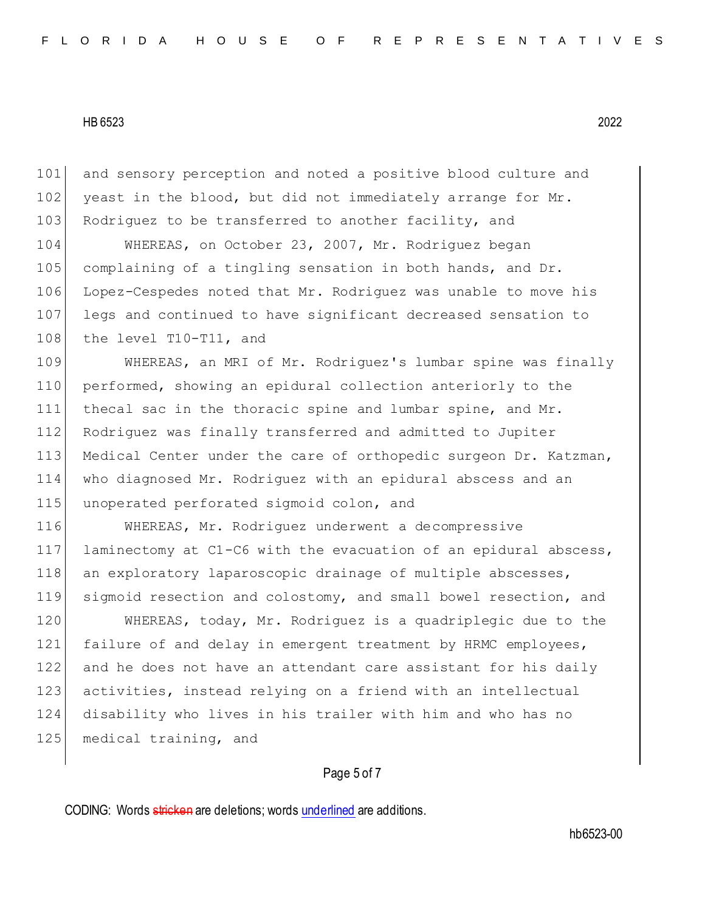101 and sensory perception and noted a positive blood culture and 102 yeast in the blood, but did not immediately arrange for Mr. 103 Rodriguez to be transferred to another facility, and

 WHEREAS, on October 23, 2007, Mr. Rodriguez began complaining of a tingling sensation in both hands, and Dr. Lopez-Cespedes noted that Mr. Rodriguez was unable to move his legs and continued to have significant decreased sensation to 108 the level T10-T11, and

 WHEREAS, an MRI of Mr. Rodriguez's lumbar spine was finally performed, showing an epidural collection anteriorly to the 111 thecal sac in the thoracic spine and lumbar spine, and Mr. Rodriguez was finally transferred and admitted to Jupiter Medical Center under the care of orthopedic surgeon Dr. Katzman, who diagnosed Mr. Rodriguez with an epidural abscess and an 115 unoperated perforated sigmoid colon, and

 WHEREAS, Mr. Rodriguez underwent a decompressive laminectomy at C1-C6 with the evacuation of an epidural abscess, 118 an exploratory laparoscopic drainage of multiple abscesses, sigmoid resection and colostomy, and small bowel resection, and

 WHEREAS, today, Mr. Rodriguez is a quadriplegic due to the failure of and delay in emergent treatment by HRMC employees, and he does not have an attendant care assistant for his daily 123 activities, instead relying on a friend with an intellectual disability who lives in his trailer with him and who has no 125 medical training, and

## Page 5 of 7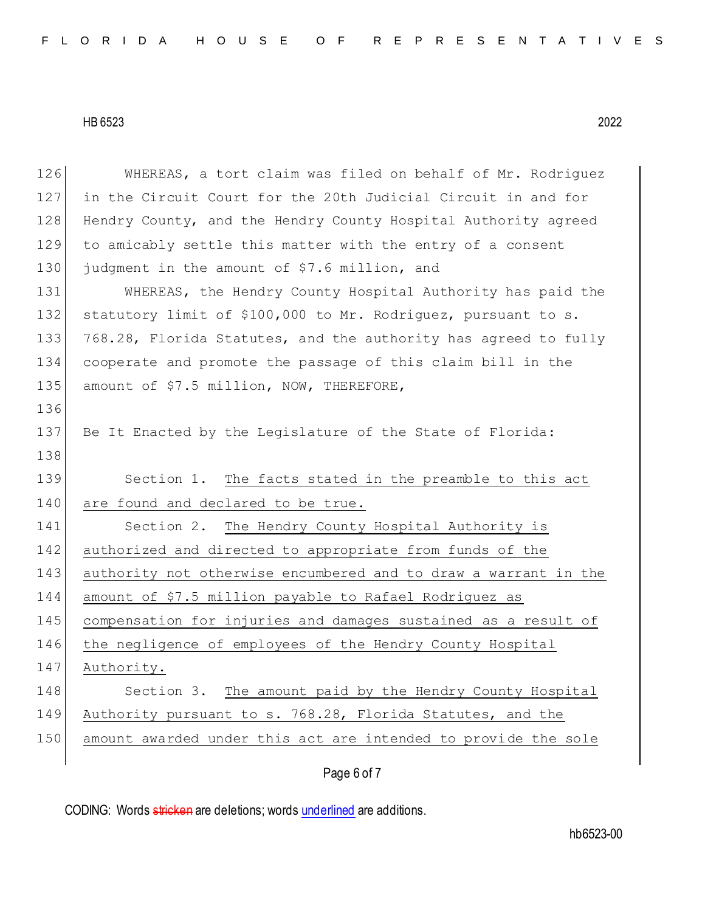| 126 | WHEREAS, a tort claim was filed on behalf of Mr. Rodriguez      |
|-----|-----------------------------------------------------------------|
| 127 | in the Circuit Court for the 20th Judicial Circuit in and for   |
| 128 | Hendry County, and the Hendry County Hospital Authority agreed  |
| 129 | to amicably settle this matter with the entry of a consent      |
| 130 | judgment in the amount of \$7.6 million, and                    |
| 131 | WHEREAS, the Hendry County Hospital Authority has paid the      |
| 132 | statutory limit of \$100,000 to Mr. Rodriguez, pursuant to s.   |
| 133 | 768.28, Florida Statutes, and the authority has agreed to fully |
| 134 | cooperate and promote the passage of this claim bill in the     |
| 135 | amount of \$7.5 million, NOW, THEREFORE,                        |
| 136 |                                                                 |
| 137 | Be It Enacted by the Legislature of the State of Florida:       |
| 138 |                                                                 |
|     |                                                                 |
| 139 | Section 1. The facts stated in the preamble to this act         |
| 140 | are found and declared to be true.                              |
| 141 | Section 2. The Hendry County Hospital Authority is              |
| 142 | authorized and directed to appropriate from funds of the        |
| 143 | authority not otherwise encumbered and to draw a warrant in the |
| 144 | amount of \$7.5 million payable to Rafael Rodriguez as          |
| 145 | compensation for injuries and damages sustained as a result of  |
| 146 | the negligence of employees of the Hendry County Hospital       |
| 147 | Authority.                                                      |
| 148 | Section 3. The amount paid by the Hendry County Hospital        |
| 149 | Authority pursuant to s. 768.28, Florida Statutes, and the      |
| 150 | amount awarded under this act are intended to provide the sole  |

Page 6 of 7